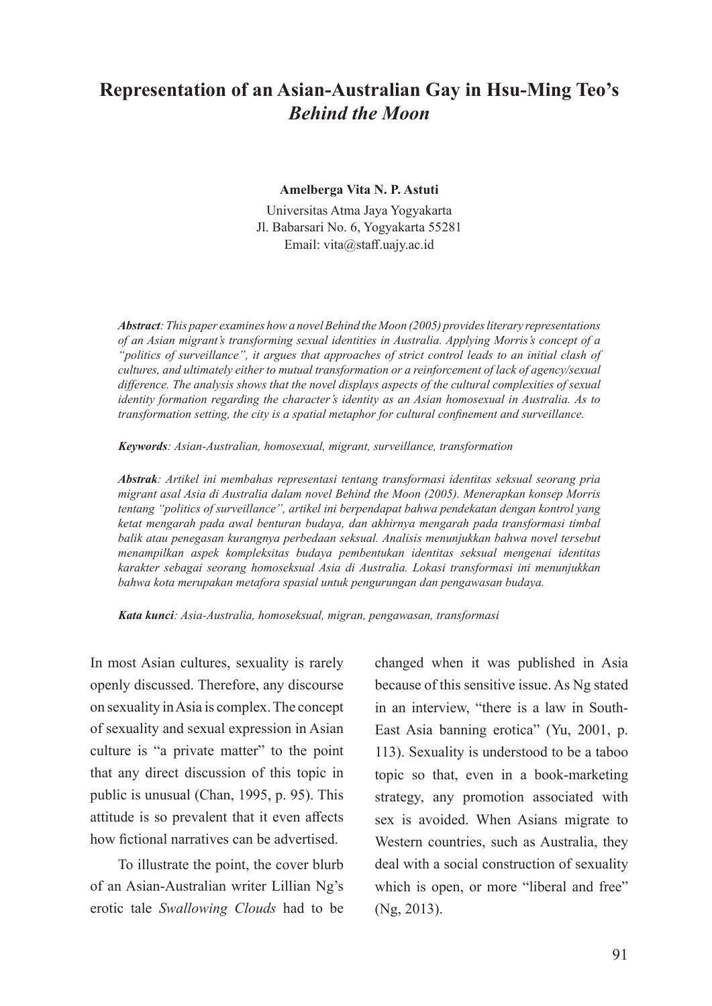# **Representation of an Asian-Australian Gay in Hsu-Ming Teo's**  *Behind the Moon*

**Amelberga Vita N. P. Astuti**

Universitas Atma Jaya Yogyakarta Jl. Babarsari No. 6, Yogyakarta 55281 Email: vita@staff.uajy.ac.id

*Abstract: This paper examines how a novel Behind the Moon (2005) provides literary representations of an Asian migrant's transforming sexual identities in Australia. Applying Morris's concept of a "politics of surveillance", it argues that approaches of strict control leads to an initial clash of cultures, and ultimately either to mutual transformation or a reinforcement of lack of agency/sexual difference. The analysis shows that the novel displays aspects of the cultural complexities of sexual identity formation regarding the character's identity as an Asian homosexual in Australia. As to transformation setting, the city is a spatial metaphor for cultural confinement and surveillance.*

*Keywords: Asian-Australian, homosexual, migrant, surveillance, transformation*

*Abstrak: Artikel ini membahas representasi tentang transformasi identitas seksual seorang pria migrant asal Asia di Australia dalam novel Behind the Moon (2005). Menerapkan konsep Morris tentang "politics of surveillance", artikel ini berpendapat bahwa pendekatan dengan kontrol yang ketat mengarah pada awal benturan budaya, dan akhirnya mengarah pada transformasi timbal balik atau penegasan kurangnya perbedaan seksual. Analisis menunjukkan bahwa novel tersebut menampilkan aspek kompleksitas budaya pembentukan identitas seksual mengenai identitas karakter sebagai seorang homoseksual Asia di Australia. Lokasi transformasi ini menunjukkan bahwa kota merupakan metafora spasial untuk pengurungan dan pengawasan budaya.*

*Kata kunci: Asia-Australia, homoseksual, migran, pengawasan, transformasi*

In most Asian cultures, sexuality is rarely openly discussed. Therefore, any discourse on sexuality in Asia is complex. The concept of sexuality and sexual expression in Asian culture is "a private matter" to the point that any direct discussion of this topic in public is unusual (Chan, 1995, p. 95). This attitude is so prevalent that it even affects how fictional narratives can be advertised.

To illustrate the point, the cover blurb of an Asian-Australian writer Lillian Ng's erotic tale *Swallowing Clouds* had to be changed when it was published in Asia because of this sensitive issue. As Ng stated in an interview, "there is a law in South-East Asia banning erotica" (Yu, 2001, p. 113). Sexuality is understood to be a taboo topic so that, even in a book-marketing strategy, any promotion associated with sex is avoided. When Asians migrate to Western countries, such as Australia, they deal with a social construction of sexuality which is open, or more "liberal and free" (Ng, 2013).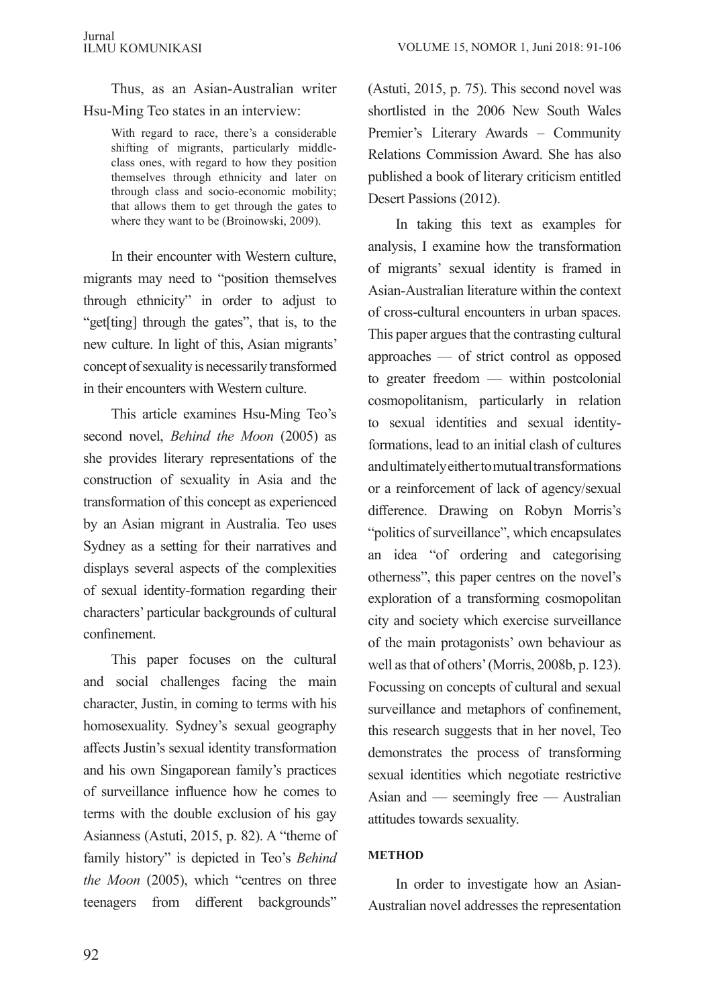Thus, as an Asian-Australian writer Hsu-Ming Teo states in an interview:

> With regard to race, there's a considerable shifting of migrants, particularly middleclass ones, with regard to how they position themselves through ethnicity and later on through class and socio-economic mobility; that allows them to get through the gates to where they want to be (Broinowski, 2009).

In their encounter with Western culture, migrants may need to "position themselves through ethnicity" in order to adjust to "get[ting] through the gates", that is, to the new culture. In light of this, Asian migrants' concept of sexuality is necessarily transformed in their encounters with Western culture.

This article examines Hsu-Ming Teo's second novel, *Behind the Moon* (2005) as she provides literary representations of the construction of sexuality in Asia and the transformation of this concept as experienced by an Asian migrant in Australia. Teo uses Sydney as a setting for their narratives and displays several aspects of the complexities of sexual identity-formation regarding their characters' particular backgrounds of cultural confinement.

This paper focuses on the cultural and social challenges facing the main character, Justin, in coming to terms with his homosexuality. Sydney's sexual geography affects Justin's sexual identity transformation and his own Singaporean family's practices of surveillance influence how he comes to terms with the double exclusion of his gay Asianness (Astuti, 2015, p. 82). A "theme of family history" is depicted in Teo's *Behind the Moon* (2005), which "centres on three teenagers from different backgrounds"

(Astuti, 2015, p. 75). This second novel was shortlisted in the 2006 New South Wales Premier's Literary Awards – Community Relations Commission Award. She has also published a book of literary criticism entitled Desert Passions (2012).

In taking this text as examples for analysis, I examine how the transformation of migrants' sexual identity is framed in Asian-Australian literature within the context of cross-cultural encounters in urban spaces. This paper argues that the contrasting cultural approaches — of strict control as opposed to greater freedom — within postcolonial cosmopolitanism, particularly in relation to sexual identities and sexual identityformations, lead to an initial clash of cultures and ultimately either to mutual transformations or a reinforcement of lack of agency/sexual difference. Drawing on Robyn Morris's "politics of surveillance", which encapsulates an idea "of ordering and categorising otherness", this paper centres on the novel's exploration of a transforming cosmopolitan city and society which exercise surveillance of the main protagonists' own behaviour as well as that of others' (Morris, 2008b, p. 123). Focussing on concepts of cultural and sexual surveillance and metaphors of confinement, this research suggests that in her novel, Teo demonstrates the process of transforming sexual identities which negotiate restrictive Asian and — seemingly free — Australian attitudes towards sexuality.

## **METHOD**

In order to investigate how an Asian-Australian novel addresses the representation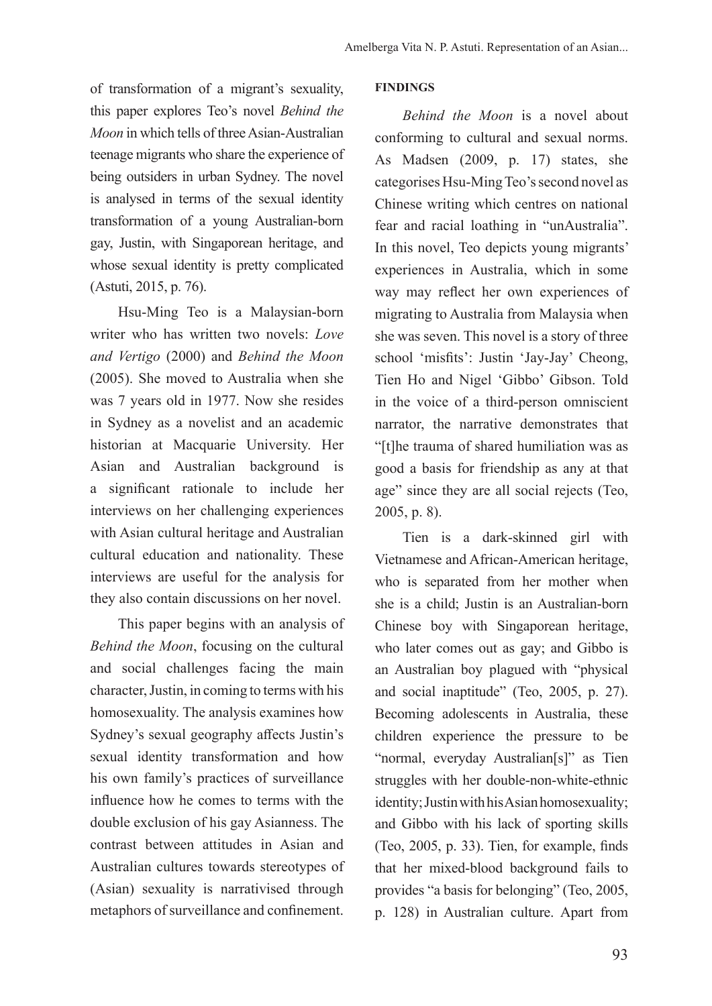of transformation of a migrant's sexuality, this paper explores Teo's novel *Behind the Moon* in which tells of three Asian-Australian teenage migrants who share the experience of being outsiders in urban Sydney. The novel is analysed in terms of the sexual identity transformation of a young Australian-born gay, Justin, with Singaporean heritage, and whose sexual identity is pretty complicated (Astuti, 2015, p. 76).

Hsu-Ming Teo is a Malaysian-born writer who has written two novels: *Love and Vertigo* (2000) and *Behind the Moon* (2005). She moved to Australia when she was 7 years old in 1977. Now she resides in Sydney as a novelist and an academic historian at Macquarie University. Her Asian and Australian background is a significant rationale to include her interviews on her challenging experiences with Asian cultural heritage and Australian cultural education and nationality. These interviews are useful for the analysis for they also contain discussions on her novel.

This paper begins with an analysis of *Behind the Moon*, focusing on the cultural and social challenges facing the main character, Justin, in coming to terms with his homosexuality. The analysis examines how Sydney's sexual geography affects Justin's sexual identity transformation and how his own family's practices of surveillance influence how he comes to terms with the double exclusion of his gay Asianness. The contrast between attitudes in Asian and Australian cultures towards stereotypes of (Asian) sexuality is narrativised through metaphors of surveillance and confinement.

### **FINDINGS**

*Behind the Moon* is a novel about conforming to cultural and sexual norms. As Madsen (2009, p. 17) states, she categorises Hsu-Ming Teo's second novel as Chinese writing which centres on national fear and racial loathing in "unAustralia". In this novel, Teo depicts young migrants' experiences in Australia, which in some way may reflect her own experiences of migrating to Australia from Malaysia when she was seven. This novel is a story of three school 'misfits': Justin 'Jay-Jay' Cheong, Tien Ho and Nigel 'Gibbo' Gibson. Told in the voice of a third-person omniscient narrator, the narrative demonstrates that "[t]he trauma of shared humiliation was as good a basis for friendship as any at that age" since they are all social rejects (Teo, 2005, p. 8).

Tien is a dark-skinned girl with Vietnamese and African-American heritage, who is separated from her mother when she is a child; Justin is an Australian-born Chinese boy with Singaporean heritage, who later comes out as gay; and Gibbo is an Australian boy plagued with "physical and social inaptitude" (Teo, 2005, p. 27). Becoming adolescents in Australia, these children experience the pressure to be "normal, everyday Australian[s]" as Tien struggles with her double-non-white-ethnic identity; Justin with his Asian homosexuality; and Gibbo with his lack of sporting skills (Teo, 2005, p. 33). Tien, for example, finds that her mixed-blood background fails to provides "a basis for belonging" (Teo, 2005, p. 128) in Australian culture. Apart from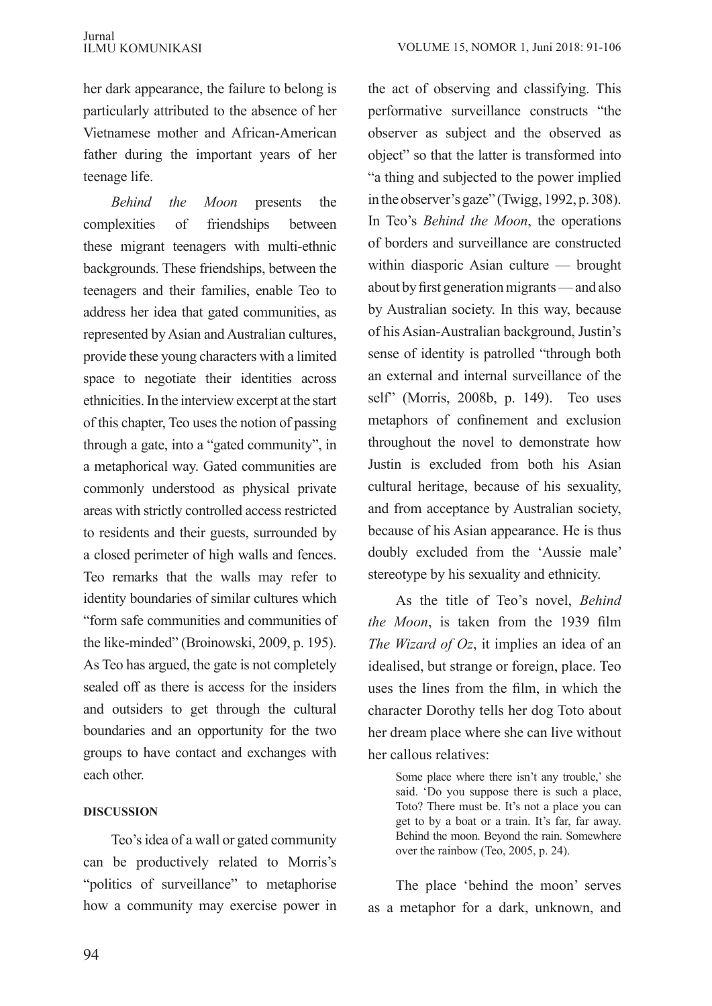her dark appearance, the failure to belong is particularly attributed to the absence of her Vietnamese mother and African-American father during the important years of her teenage life.

*Behind the Moon* presents the complexities of friendships between these migrant teenagers with multi-ethnic backgrounds. These friendships, between the teenagers and their families, enable Teo to address her idea that gated communities, as represented by Asian and Australian cultures, provide these young characters with a limited space to negotiate their identities across ethnicities. In the interview excerpt at the start of this chapter, Teo uses the notion of passing through a gate, into a "gated community", in a metaphorical way. Gated communities are commonly understood as physical private areas with strictly controlled access restricted to residents and their guests, surrounded by a closed perimeter of high walls and fences. Teo remarks that the walls may refer to identity boundaries of similar cultures which "form safe communities and communities of the like-minded" (Broinowski, 2009, p. 195). As Teo has argued, the gate is not completely sealed off as there is access for the insiders and outsiders to get through the cultural boundaries and an opportunity for the two groups to have contact and exchanges with each other.

## **DISCUSSION**

Teo's idea of a wall or gated community can be productively related to Morris's "politics of surveillance" to metaphorise how a community may exercise power in the act of observing and classifying. This performative surveillance constructs "the observer as subject and the observed as object" so that the latter is transformed into "a thing and subjected to the power implied in the observer's gaze" (Twigg, 1992, p. 308). In Teo's *Behind the Moon*, the operations of borders and surveillance are constructed within diasporic Asian culture — brought about by first generation migrants — and also by Australian society. In this way, because of his Asian-Australian background, Justin's sense of identity is patrolled "through both an external and internal surveillance of the self" (Morris, 2008b, p. 149). Teo uses metaphors of confinement and exclusion throughout the novel to demonstrate how Justin is excluded from both his Asian cultural heritage, because of his sexuality, and from acceptance by Australian society, because of his Asian appearance. He is thus doubly excluded from the 'Aussie male' stereotype by his sexuality and ethnicity.

As the title of Teo's novel, *Behind the Moon*, is taken from the 1939 film *The Wizard of Oz*, it implies an idea of an idealised, but strange or foreign, place. Teo uses the lines from the film, in which the character Dorothy tells her dog Toto about her dream place where she can live without her callous relatives:

> Some place where there isn't any trouble,' she said. 'Do you suppose there is such a place, Toto? There must be. It's not a place you can get to by a boat or a train. It's far, far away. Behind the moon. Beyond the rain. Somewhere over the rainbow (Teo, 2005, p. 24).

The place 'behind the moon' serves as a metaphor for a dark, unknown, and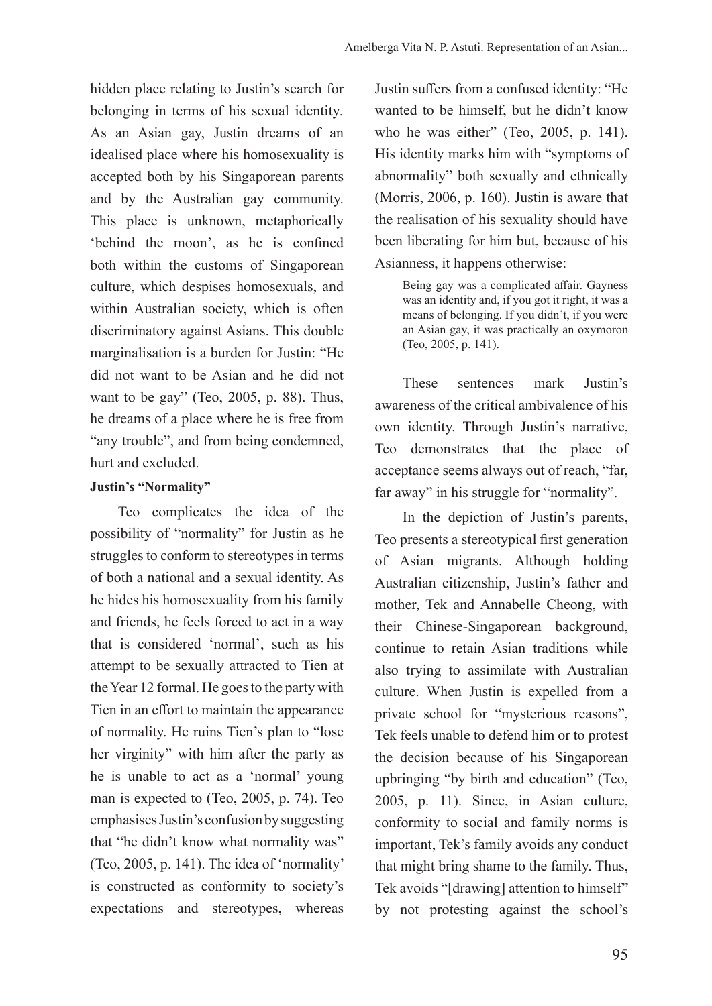hidden place relating to Justin's search for belonging in terms of his sexual identity*.*  As an Asian gay, Justin dreams of an idealised place where his homosexuality is accepted both by his Singaporean parents and by the Australian gay community. This place is unknown, metaphorically 'behind the moon', as he is confined both within the customs of Singaporean culture, which despises homosexuals, and within Australian society, which is often discriminatory against Asians. This double marginalisation is a burden for Justin: "He did not want to be Asian and he did not want to be gay" (Teo, 2005, p. 88). Thus, he dreams of a place where he is free from "any trouble", and from being condemned, hurt and excluded.

## **Justin's "Normality"**

Teo complicates the idea of the possibility of "normality" for Justin as he struggles to conform to stereotypes in terms of both a national and a sexual identity. As he hides his homosexuality from his family and friends, he feels forced to act in a way that is considered 'normal', such as his attempt to be sexually attracted to Tien at the Year 12 formal. He goes to the party with Tien in an effort to maintain the appearance of normality. He ruins Tien's plan to "lose her virginity" with him after the party as he is unable to act as a 'normal' young man is expected to (Teo, 2005, p. 74). Teo emphasises Justin's confusion by suggesting that "he didn't know what normality was" (Teo, 2005, p. 141). The idea of 'normality' is constructed as conformity to society's expectations and stereotypes, whereas Justin suffers from a confused identity: "He wanted to be himself, but he didn't know who he was either" (Teo, 2005, p. 141). His identity marks him with "symptoms of abnormality" both sexually and ethnically (Morris, 2006, p. 160). Justin is aware that the realisation of his sexuality should have been liberating for him but, because of his Asianness, it happens otherwise:

> Being gay was a complicated affair. Gayness was an identity and, if you got it right, it was a means of belonging. If you didn't, if you were an Asian gay, it was practically an oxymoron (Teo, 2005, p. 141).

These sentences mark Justin's awareness of the critical ambivalence of his own identity. Through Justin's narrative, Teo demonstrates that the place of acceptance seems always out of reach, "far, far away" in his struggle for "normality".

In the depiction of Justin's parents, Teo presents a stereotypical first generation of Asian migrants. Although holding Australian citizenship, Justin's father and mother, Tek and Annabelle Cheong, with their Chinese-Singaporean background, continue to retain Asian traditions while also trying to assimilate with Australian culture. When Justin is expelled from a private school for "mysterious reasons", Tek feels unable to defend him or to protest the decision because of his Singaporean upbringing "by birth and education" (Teo, 2005, p. 11). Since, in Asian culture, conformity to social and family norms is important, Tek's family avoids any conduct that might bring shame to the family. Thus, Tek avoids "[drawing] attention to himself" by not protesting against the school's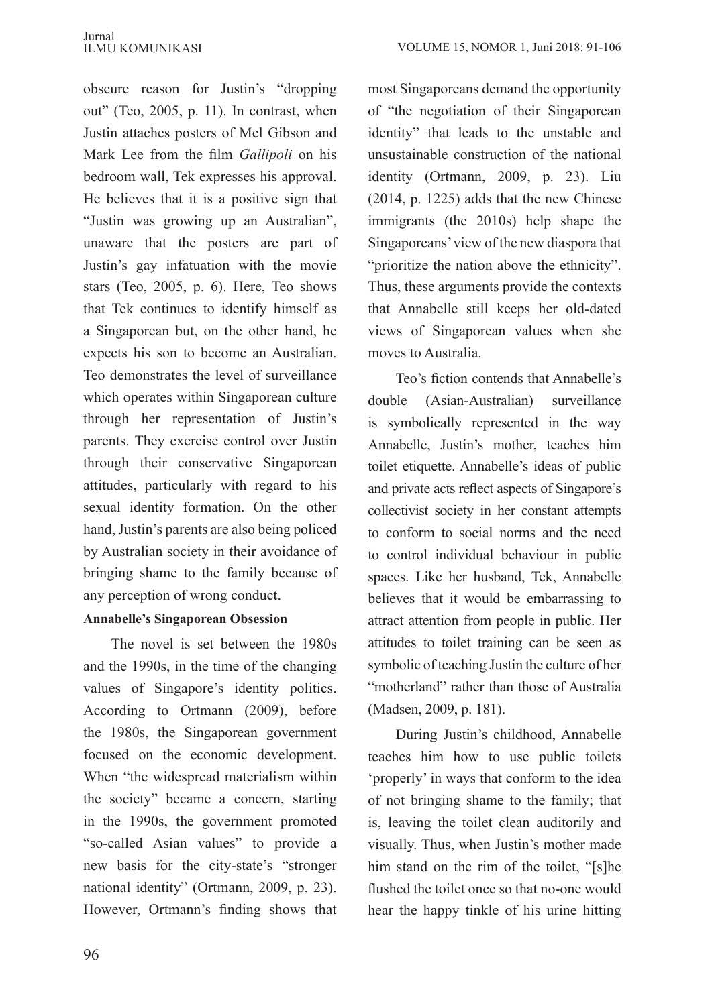obscure reason for Justin's "dropping out" (Teo, 2005, p. 11). In contrast, when Justin attaches posters of Mel Gibson and Mark Lee from the film *Gallipoli* on his bedroom wall, Tek expresses his approval. He believes that it is a positive sign that "Justin was growing up an Australian", unaware that the posters are part of Justin's gay infatuation with the movie stars (Teo, 2005, p. 6). Here, Teo shows that Tek continues to identify himself as a Singaporean but, on the other hand, he expects his son to become an Australian. Teo demonstrates the level of surveillance which operates within Singaporean culture through her representation of Justin's parents. They exercise control over Justin through their conservative Singaporean attitudes, particularly with regard to his sexual identity formation. On the other hand, Justin's parents are also being policed by Australian society in their avoidance of bringing shame to the family because of any perception of wrong conduct.

## **Annabelle's Singaporean Obsession**

The novel is set between the 1980s and the 1990s, in the time of the changing values of Singapore's identity politics. According to Ortmann (2009), before the 1980s, the Singaporean government focused on the economic development. When "the widespread materialism within the society" became a concern, starting in the 1990s, the government promoted "so-called Asian values" to provide a new basis for the city-state's "stronger national identity" (Ortmann, 2009, p. 23). However, Ortmann's finding shows that

most Singaporeans demand the opportunity of "the negotiation of their Singaporean identity" that leads to the unstable and unsustainable construction of the national identity (Ortmann, 2009, p. 23). Liu (2014, p. 1225) adds that the new Chinese immigrants (the 2010s) help shape the Singaporeans' view of the new diaspora that "prioritize the nation above the ethnicity". Thus, these arguments provide the contexts that Annabelle still keeps her old-dated views of Singaporean values when she moves to Australia.

Teo's fiction contends that Annabelle's double (Asian-Australian) surveillance is symbolically represented in the way Annabelle, Justin's mother, teaches him toilet etiquette. Annabelle's ideas of public and private acts reflect aspects of Singapore's collectivist society in her constant attempts to conform to social norms and the need to control individual behaviour in public spaces. Like her husband, Tek, Annabelle believes that it would be embarrassing to attract attention from people in public. Her attitudes to toilet training can be seen as symbolic of teaching Justin the culture of her "motherland" rather than those of Australia (Madsen, 2009, p. 181).

During Justin's childhood, Annabelle teaches him how to use public toilets 'properly' in ways that conform to the idea of not bringing shame to the family; that is, leaving the toilet clean auditorily and visually. Thus, when Justin's mother made him stand on the rim of the toilet, "[s]he flushed the toilet once so that no-one would hear the happy tinkle of his urine hitting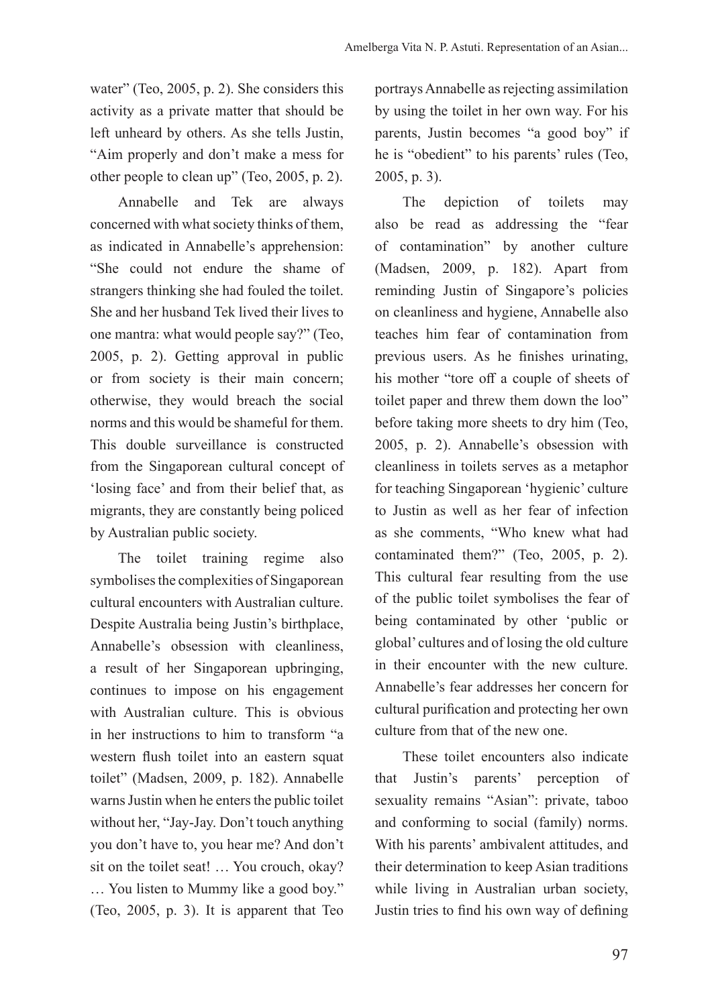water" (Teo, 2005, p. 2). She considers this activity as a private matter that should be left unheard by others. As she tells Justin, "Aim properly and don't make a mess for other people to clean up" (Teo, 2005, p. 2).

Annabelle and Tek are always concerned with what society thinks of them, as indicated in Annabelle's apprehension: "She could not endure the shame of strangers thinking she had fouled the toilet. She and her husband Tek lived their lives to one mantra: what would people say?" (Teo, 2005, p. 2). Getting approval in public or from society is their main concern; otherwise, they would breach the social norms and this would be shameful for them. This double surveillance is constructed from the Singaporean cultural concept of 'losing face' and from their belief that, as migrants, they are constantly being policed by Australian public society.

The toilet training regime also symbolises the complexities of Singaporean cultural encounters with Australian culture. Despite Australia being Justin's birthplace, Annabelle's obsession with cleanliness, a result of her Singaporean upbringing, continues to impose on his engagement with Australian culture. This is obvious in her instructions to him to transform "a western flush toilet into an eastern squat toilet" (Madsen, 2009, p. 182). Annabelle warns Justin when he enters the public toilet without her, "Jay-Jay. Don't touch anything you don't have to, you hear me? And don't sit on the toilet seat! … You crouch, okay? … You listen to Mummy like a good boy." (Teo, 2005, p. 3). It is apparent that Teo

portrays Annabelle as rejecting assimilation by using the toilet in her own way. For his parents, Justin becomes "a good boy" if he is "obedient" to his parents' rules (Teo, 2005, p. 3).

The depiction of toilets may also be read as addressing the "fear of contamination" by another culture (Madsen, 2009, p. 182). Apart from reminding Justin of Singapore's policies on cleanliness and hygiene, Annabelle also teaches him fear of contamination from previous users. As he finishes urinating, his mother "tore off a couple of sheets of toilet paper and threw them down the loo" before taking more sheets to dry him (Teo, 2005, p. 2). Annabelle's obsession with cleanliness in toilets serves as a metaphor for teaching Singaporean 'hygienic' culture to Justin as well as her fear of infection as she comments, "Who knew what had contaminated them?" (Teo, 2005, p. 2). This cultural fear resulting from the use of the public toilet symbolises the fear of being contaminated by other 'public or global' cultures and of losing the old culture in their encounter with the new culture. Annabelle's fear addresses her concern for cultural purification and protecting her own culture from that of the new one.

These toilet encounters also indicate that Justin's parents' perception of sexuality remains "Asian": private, taboo and conforming to social (family) norms. With his parents' ambivalent attitudes, and their determination to keep Asian traditions while living in Australian urban society, Justin tries to find his own way of defining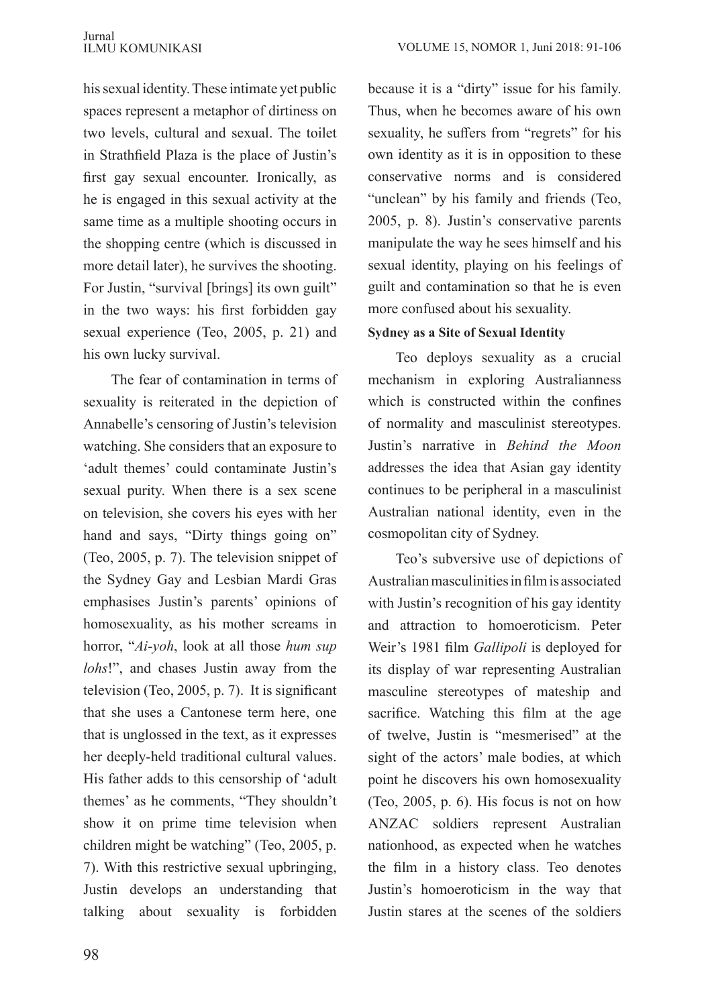his sexual identity. These intimate yet public spaces represent a metaphor of dirtiness on two levels, cultural and sexual. The toilet in Strathfield Plaza is the place of Justin's first gay sexual encounter. Ironically, as he is engaged in this sexual activity at the same time as a multiple shooting occurs in the shopping centre (which is discussed in more detail later), he survives the shooting. For Justin, "survival [brings] its own guilt" in the two ways: his first forbidden gay sexual experience (Teo, 2005, p. 21) and his own lucky survival.

The fear of contamination in terms of sexuality is reiterated in the depiction of Annabelle's censoring of Justin's television watching. She considers that an exposure to 'adult themes' could contaminate Justin's sexual purity. When there is a sex scene on television, she covers his eyes with her hand and says, "Dirty things going on" (Teo, 2005, p. 7). The television snippet of the Sydney Gay and Lesbian Mardi Gras emphasises Justin's parents' opinions of homosexuality, as his mother screams in horror, "*Ai-yoh*, look at all those *hum sup lohs*!", and chases Justin away from the television (Teo, 2005, p. 7). It is significant that she uses a Cantonese term here, one that is unglossed in the text, as it expresses her deeply-held traditional cultural values. His father adds to this censorship of 'adult themes' as he comments, "They shouldn't show it on prime time television when children might be watching" (Teo, 2005, p. 7). With this restrictive sexual upbringing, Justin develops an understanding that talking about sexuality is forbidden because it is a "dirty" issue for his family. Thus, when he becomes aware of his own sexuality, he suffers from "regrets" for his own identity as it is in opposition to these conservative norms and is considered "unclean" by his family and friends (Teo, 2005, p. 8). Justin's conservative parents manipulate the way he sees himself and his sexual identity, playing on his feelings of guilt and contamination so that he is even more confused about his sexuality.

# **Sydney as a Site of Sexual Identity**

Teo deploys sexuality as a crucial mechanism in exploring Australianness which is constructed within the confines of normality and masculinist stereotypes. Justin's narrative in *Behind the Moon* addresses the idea that Asian gay identity continues to be peripheral in a masculinist Australian national identity, even in the cosmopolitan city of Sydney.

Teo's subversive use of depictions of Australian masculinities in film is associated with Justin's recognition of his gay identity and attraction to homoeroticism. Peter Weir's 1981 film *Gallipoli* is deployed for its display of war representing Australian masculine stereotypes of mateship and sacrifice. Watching this film at the age of twelve, Justin is "mesmerised" at the sight of the actors' male bodies, at which point he discovers his own homosexuality (Teo, 2005, p. 6). His focus is not on how ANZAC soldiers represent Australian nationhood, as expected when he watches the film in a history class. Teo denotes Justin's homoeroticism in the way that Justin stares at the scenes of the soldiers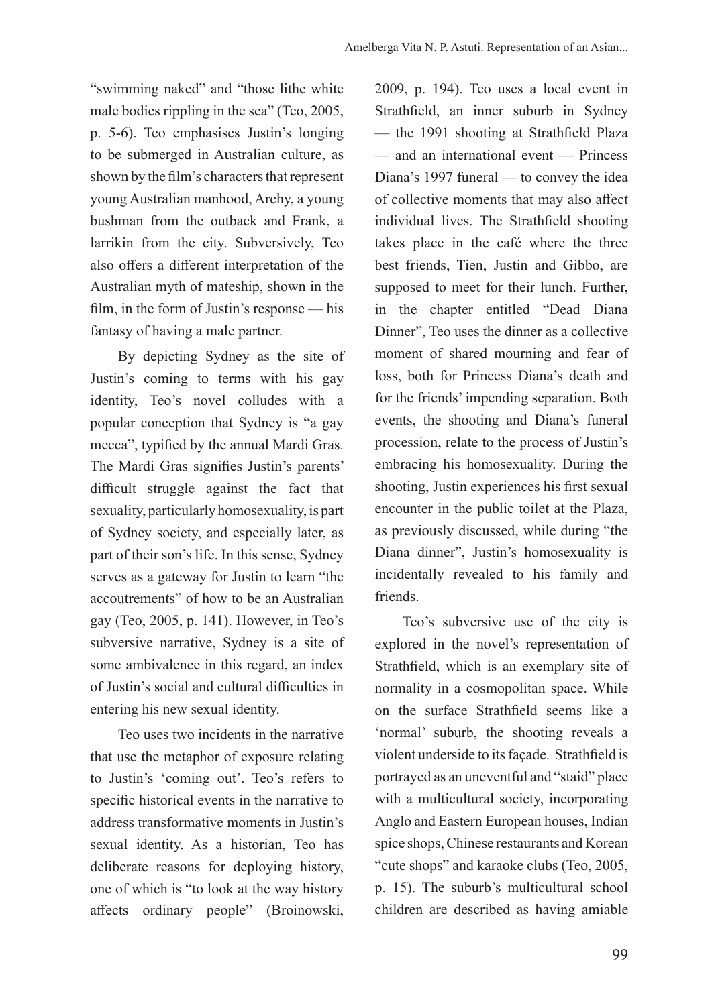"swimming naked" and "those lithe white male bodies rippling in the sea" (Teo, 2005, p. 5-6). Teo emphasises Justin's longing to be submerged in Australian culture, as shown by the film's characters that represent young Australian manhood, Archy, a young bushman from the outback and Frank, a larrikin from the city. Subversively, Teo also offers a different interpretation of the Australian myth of mateship, shown in the film, in the form of Justin's response — his fantasy of having a male partner.

By depicting Sydney as the site of Justin's coming to terms with his gay identity, Teo's novel colludes with a popular conception that Sydney is "a gay mecca", typified by the annual Mardi Gras. The Mardi Gras signifies Justin's parents' difficult struggle against the fact that sexuality, particularly homosexuality, is part of Sydney society, and especially later, as part of their son's life. In this sense, Sydney serves as a gateway for Justin to learn "the accoutrements" of how to be an Australian gay (Teo, 2005, p. 141). However, in Teo's subversive narrative, Sydney is a site of some ambivalence in this regard, an index of Justin's social and cultural difficulties in entering his new sexual identity.

Teo uses two incidents in the narrative that use the metaphor of exposure relating to Justin's 'coming out'. Teo's refers to specific historical events in the narrative to address transformative moments in Justin's sexual identity. As a historian, Teo has deliberate reasons for deploying history, one of which is "to look at the way history affects ordinary people" (Broinowski,

2009, p. 194). Teo uses a local event in Strathfield, an inner suburb in Sydney — the 1991 shooting at Strathfield Plaza — and an international event — Princess Diana's 1997 funeral — to convey the idea of collective moments that may also affect individual lives. The Strathfield shooting takes place in the café where the three best friends, Tien, Justin and Gibbo, are supposed to meet for their lunch. Further, in the chapter entitled "Dead Diana Dinner", Teo uses the dinner as a collective moment of shared mourning and fear of loss, both for Princess Diana's death and for the friends' impending separation. Both events, the shooting and Diana's funeral procession, relate to the process of Justin's embracing his homosexuality. During the shooting, Justin experiences his first sexual encounter in the public toilet at the Plaza, as previously discussed, while during "the Diana dinner", Justin's homosexuality is incidentally revealed to his family and friends.

Teo's subversive use of the city is explored in the novel's representation of Strathfield, which is an exemplary site of normality in a cosmopolitan space. While on the surface Strathfield seems like a 'normal' suburb, the shooting reveals a violent underside to its façade. Strathfield is portrayed as an uneventful and "staid" place with a multicultural society, incorporating Anglo and Eastern European houses, Indian spice shops, Chinese restaurants and Korean "cute shops" and karaoke clubs (Teo, 2005, p. 15). The suburb's multicultural school children are described as having amiable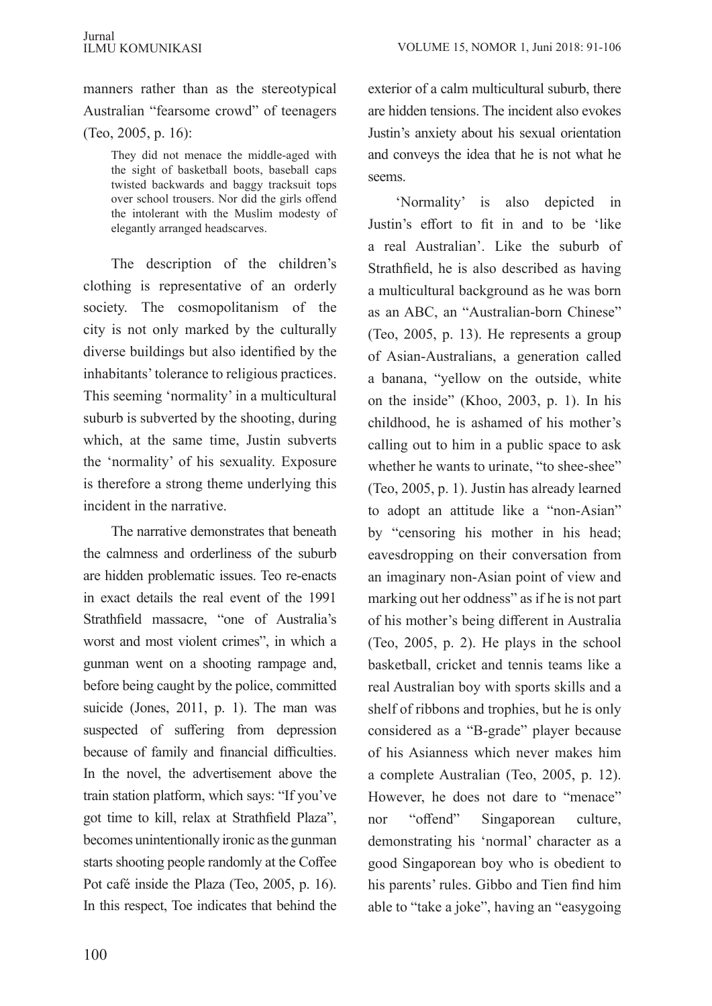manners rather than as the stereotypical Australian "fearsome crowd" of teenagers (Teo, 2005, p. 16):

> They did not menace the middle-aged with the sight of basketball boots, baseball caps twisted backwards and baggy tracksuit tops over school trousers. Nor did the girls offend the intolerant with the Muslim modesty of elegantly arranged headscarves.

The description of the children's clothing is representative of an orderly society. The cosmopolitanism of the city is not only marked by the culturally diverse buildings but also identified by the inhabitants' tolerance to religious practices. This seeming 'normality' in a multicultural suburb is subverted by the shooting, during which, at the same time, Justin subverts the 'normality' of his sexuality. Exposure is therefore a strong theme underlying this incident in the narrative.

The narrative demonstrates that beneath the calmness and orderliness of the suburb are hidden problematic issues. Teo re-enacts in exact details the real event of the 1991 Strathfield massacre, "one of Australia's worst and most violent crimes", in which a gunman went on a shooting rampage and, before being caught by the police, committed suicide (Jones, 2011, p. 1). The man was suspected of suffering from depression because of family and financial difficulties. In the novel, the advertisement above the train station platform, which says: "If you've got time to kill, relax at Strathfield Plaza", becomes unintentionally ironic as the gunman starts shooting people randomly at the Coffee Pot café inside the Plaza (Teo, 2005, p. 16). In this respect, Toe indicates that behind the exterior of a calm multicultural suburb, there are hidden tensions. The incident also evokes Justin's anxiety about his sexual orientation and conveys the idea that he is not what he seems.

'Normality' is also depicted in Justin's effort to fit in and to be 'like a real Australian'. Like the suburb of Strathfield, he is also described as having a multicultural background as he was born as an ABC, an "Australian-born Chinese" (Teo, 2005, p. 13). He represents a group of Asian-Australians, a generation called a banana, "yellow on the outside, white on the inside" (Khoo, 2003, p. 1). In his childhood, he is ashamed of his mother's calling out to him in a public space to ask whether he wants to urinate, "to shee-shee" (Teo, 2005, p. 1). Justin has already learned to adopt an attitude like a "non-Asian" by "censoring his mother in his head; eavesdropping on their conversation from an imaginary non-Asian point of view and marking out her oddness" as if he is not part of his mother's being different in Australia (Teo, 2005, p. 2). He plays in the school basketball, cricket and tennis teams like a real Australian boy with sports skills and a shelf of ribbons and trophies, but he is only considered as a "B-grade" player because of his Asianness which never makes him a complete Australian (Teo, 2005, p. 12). However, he does not dare to "menace" nor "offend" Singaporean culture, demonstrating his 'normal' character as a good Singaporean boy who is obedient to his parents' rules. Gibbo and Tien find him able to "take a joke", having an "easygoing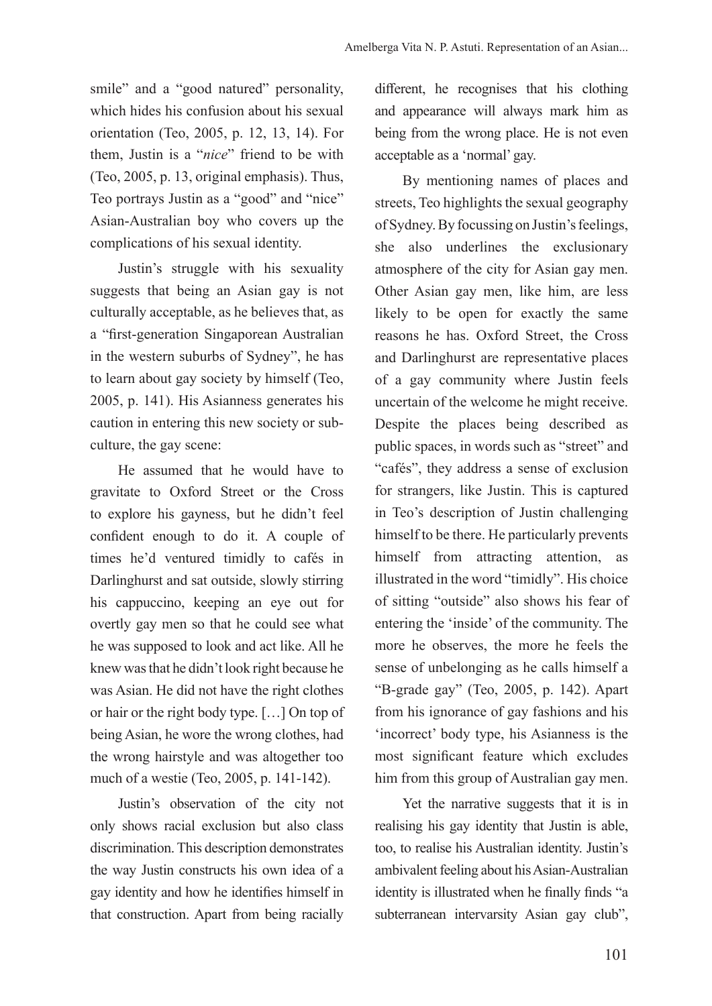smile" and a "good natured" personality, which hides his confusion about his sexual orientation (Teo, 2005, p. 12, 13, 14). For them, Justin is a "*nice*" friend to be with (Teo, 2005, p. 13, original emphasis). Thus, Teo portrays Justin as a "good" and "nice" Asian-Australian boy who covers up the complications of his sexual identity.

Justin's struggle with his sexuality suggests that being an Asian gay is not culturally acceptable, as he believes that, as a "first-generation Singaporean Australian in the western suburbs of Sydney", he has to learn about gay society by himself (Teo, 2005, p. 141). His Asianness generates his caution in entering this new society or subculture, the gay scene:

He assumed that he would have to gravitate to Oxford Street or the Cross to explore his gayness, but he didn't feel confident enough to do it. A couple of times he'd ventured timidly to cafés in Darlinghurst and sat outside, slowly stirring his cappuccino, keeping an eye out for overtly gay men so that he could see what he was supposed to look and act like. All he knew was that he didn't look right because he was Asian. He did not have the right clothes or hair or the right body type. […] On top of being Asian, he wore the wrong clothes, had the wrong hairstyle and was altogether too much of a westie (Teo, 2005, p. 141-142).

Justin's observation of the city not only shows racial exclusion but also class discrimination. This description demonstrates the way Justin constructs his own idea of a gay identity and how he identifies himself in that construction. Apart from being racially different, he recognises that his clothing and appearance will always mark him as being from the wrong place. He is not even acceptable as a 'normal' gay.

By mentioning names of places and streets, Teo highlights the sexual geography of Sydney. By focussing on Justin's feelings, she also underlines the exclusionary atmosphere of the city for Asian gay men. Other Asian gay men, like him, are less likely to be open for exactly the same reasons he has. Oxford Street, the Cross and Darlinghurst are representative places of a gay community where Justin feels uncertain of the welcome he might receive. Despite the places being described as public spaces, in words such as "street" and "cafés", they address a sense of exclusion for strangers, like Justin. This is captured in Teo's description of Justin challenging himself to be there. He particularly prevents himself from attracting attention, as illustrated in the word "timidly". His choice of sitting "outside" also shows his fear of entering the 'inside' of the community. The more he observes, the more he feels the sense of unbelonging as he calls himself a "B-grade gay" (Teo, 2005, p. 142). Apart from his ignorance of gay fashions and his 'incorrect' body type, his Asianness is the most significant feature which excludes him from this group of Australian gay men.

Yet the narrative suggests that it is in realising his gay identity that Justin is able, too, to realise his Australian identity. Justin's ambivalent feeling about his Asian-Australian identity is illustrated when he finally finds "a subterranean intervarsity Asian gay club",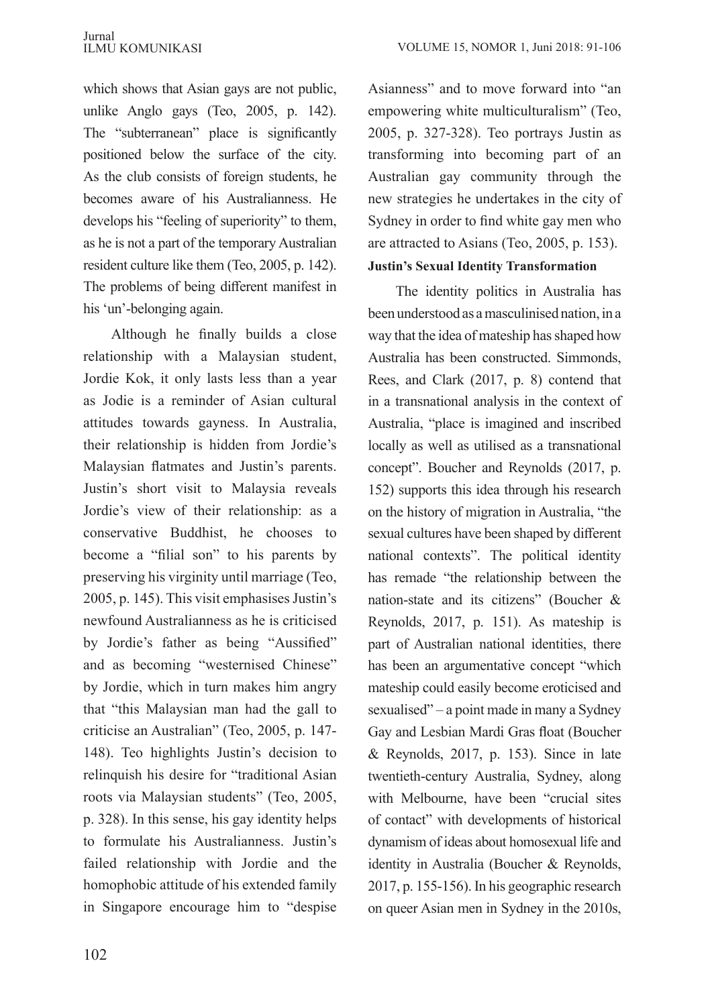which shows that Asian gays are not public, unlike Anglo gays (Teo, 2005, p. 142). The "subterranean" place is significantly positioned below the surface of the city. As the club consists of foreign students, he becomes aware of his Australianness. He develops his "feeling of superiority" to them, as he is not a part of the temporary Australian resident culture like them (Teo, 2005, p. 142). The problems of being different manifest in his 'un'-belonging again.

Although he finally builds a close relationship with a Malaysian student, Jordie Kok, it only lasts less than a year as Jodie is a reminder of Asian cultural attitudes towards gayness. In Australia, their relationship is hidden from Jordie's Malaysian flatmates and Justin's parents. Justin's short visit to Malaysia reveals Jordie's view of their relationship: as a conservative Buddhist, he chooses to become a "filial son" to his parents by preserving his virginity until marriage (Teo, 2005, p. 145). This visit emphasises Justin's newfound Australianness as he is criticised by Jordie's father as being "Aussified" and as becoming "westernised Chinese" by Jordie, which in turn makes him angry that "this Malaysian man had the gall to criticise an Australian" (Teo, 2005, p. 147- 148). Teo highlights Justin's decision to relinquish his desire for "traditional Asian roots via Malaysian students" (Teo, 2005, p. 328). In this sense, his gay identity helps to formulate his Australianness. Justin's failed relationship with Jordie and the homophobic attitude of his extended family in Singapore encourage him to "despise

Asianness" and to move forward into "an empowering white multiculturalism" (Teo, 2005, p. 327-328). Teo portrays Justin as transforming into becoming part of an Australian gay community through the new strategies he undertakes in the city of Sydney in order to find white gay men who are attracted to Asians (Teo, 2005, p. 153). **Justin's Sexual Identity Transformation**

The identity politics in Australia has been understood as a masculinised nation, in a way that the idea of mateship has shaped how Australia has been constructed. Simmonds, Rees, and Clark (2017, p. 8) contend that in a transnational analysis in the context of Australia, "place is imagined and inscribed locally as well as utilised as a transnational concept". Boucher and Reynolds (2017, p. 152) supports this idea through his research on the history of migration in Australia, "the sexual cultures have been shaped by different national contexts". The political identity has remade "the relationship between the nation-state and its citizens" (Boucher & Reynolds, 2017, p. 151). As mateship is part of Australian national identities, there has been an argumentative concept "which mateship could easily become eroticised and sexualised" – a point made in many a Sydney Gay and Lesbian Mardi Gras float (Boucher & Reynolds, 2017, p. 153). Since in late twentieth-century Australia, Sydney, along with Melbourne, have been "crucial sites of contact" with developments of historical dynamism of ideas about homosexual life and identity in Australia (Boucher & Reynolds, 2017, p. 155-156). In his geographic research on queer Asian men in Sydney in the 2010s,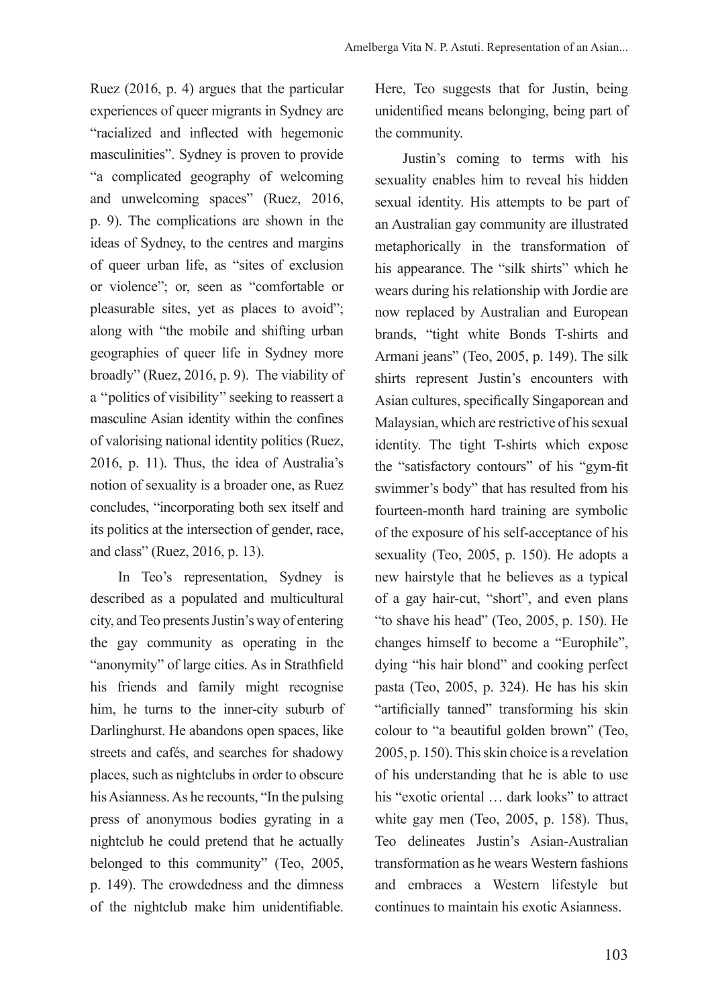Ruez (2016, p. 4) argues that the particular experiences of queer migrants in Sydney are "racialized and inflected with hegemonic masculinities". Sydney is proven to provide "a complicated geography of welcoming and unwelcoming spaces" (Ruez, 2016, p. 9). The complications are shown in the ideas of Sydney, to the centres and margins of queer urban life, as "sites of exclusion or violence"; or, seen as "comfortable or pleasurable sites, yet as places to avoid"; along with "the mobile and shifting urban geographies of queer life in Sydney more broadly" (Ruez, 2016, p. 9). The viability of a ''politics of visibility'' seeking to reassert a masculine Asian identity within the confines of valorising national identity politics (Ruez, 2016, p. 11). Thus, the idea of Australia's notion of sexuality is a broader one, as Ruez concludes, "incorporating both sex itself and its politics at the intersection of gender, race, and class" (Ruez, 2016, p. 13).

In Teo's representation, Sydney is described as a populated and multicultural city, and Teo presents Justin's way of entering the gay community as operating in the "anonymity" of large cities. As in Strathfield his friends and family might recognise him, he turns to the inner-city suburb of Darlinghurst. He abandons open spaces, like streets and cafés, and searches for shadowy places, such as nightclubs in order to obscure his Asianness. As he recounts, "In the pulsing press of anonymous bodies gyrating in a nightclub he could pretend that he actually belonged to this community" (Teo, 2005, p. 149). The crowdedness and the dimness of the nightclub make him unidentifiable.

Here, Teo suggests that for Justin, being unidentified means belonging, being part of the community.

Justin's coming to terms with his sexuality enables him to reveal his hidden sexual identity. His attempts to be part of an Australian gay community are illustrated metaphorically in the transformation of his appearance. The "silk shirts" which he wears during his relationship with Jordie are now replaced by Australian and European brands, "tight white Bonds T-shirts and Armani jeans" (Teo, 2005, p. 149). The silk shirts represent Justin's encounters with Asian cultures, specifically Singaporean and Malaysian, which are restrictive of his sexual identity. The tight T-shirts which expose the "satisfactory contours" of his "gym-fit swimmer's body" that has resulted from his fourteen-month hard training are symbolic of the exposure of his self-acceptance of his sexuality (Teo, 2005, p. 150). He adopts a new hairstyle that he believes as a typical of a gay hair-cut, "short", and even plans "to shave his head" (Teo, 2005, p. 150). He changes himself to become a "Europhile", dying "his hair blond" and cooking perfect pasta (Teo, 2005, p. 324). He has his skin "artificially tanned" transforming his skin colour to "a beautiful golden brown" (Teo, 2005, p. 150). This skin choice is a revelation of his understanding that he is able to use his "exotic oriental … dark looks" to attract white gay men (Teo, 2005, p. 158). Thus, Teo delineates Justin's Asian-Australian transformation as he wears Western fashions and embraces a Western lifestyle but continues to maintain his exotic Asianness.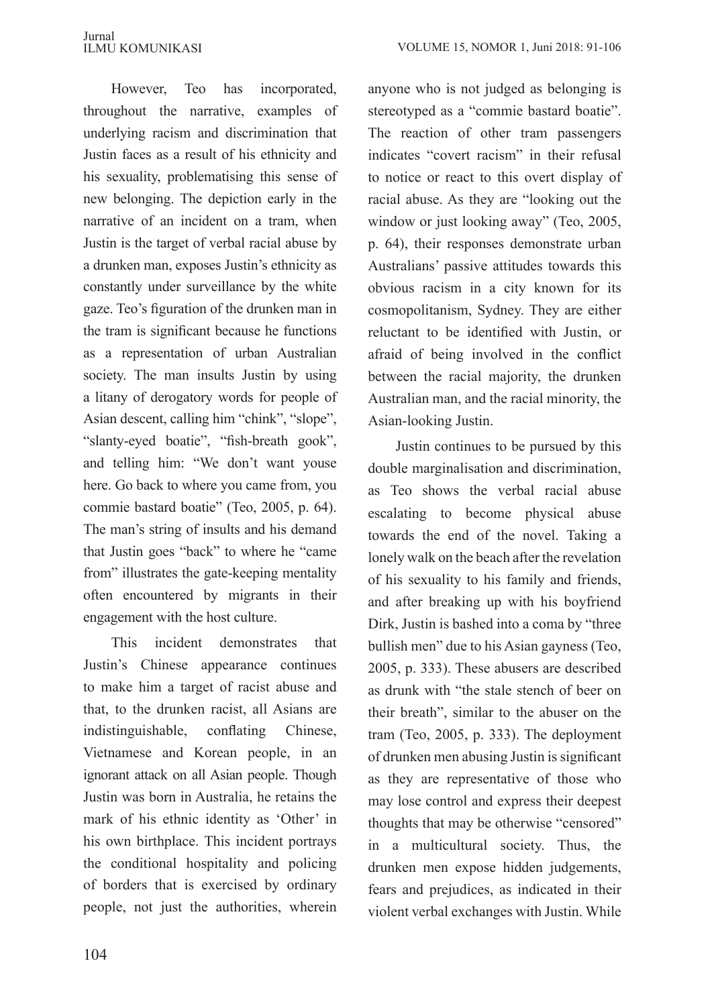However, Teo has incorporated, throughout the narrative, examples of underlying racism and discrimination that Justin faces as a result of his ethnicity and his sexuality, problematising this sense of new belonging. The depiction early in the narrative of an incident on a tram, when Justin is the target of verbal racial abuse by a drunken man, exposes Justin's ethnicity as constantly under surveillance by the white gaze. Teo's figuration of the drunken man in the tram is significant because he functions as a representation of urban Australian society. The man insults Justin by using a litany of derogatory words for people of Asian descent, calling him "chink", "slope", "slanty-eyed boatie", "fish-breath gook", and telling him: "We don't want youse here. Go back to where you came from, you commie bastard boatie" (Teo, 2005, p. 64). The man's string of insults and his demand that Justin goes "back" to where he "came from" illustrates the gate-keeping mentality often encountered by migrants in their engagement with the host culture.

This incident demonstrates that Justin's Chinese appearance continues to make him a target of racist abuse and that, to the drunken racist, all Asians are indistinguishable, conflating Chinese, Vietnamese and Korean people, in an ignorant attack on all Asian people. Though Justin was born in Australia, he retains the mark of his ethnic identity as 'Other' in his own birthplace. This incident portrays the conditional hospitality and policing of borders that is exercised by ordinary people, not just the authorities, wherein anyone who is not judged as belonging is stereotyped as a "commie bastard boatie". The reaction of other tram passengers indicates "covert racism" in their refusal to notice or react to this overt display of racial abuse. As they are "looking out the window or just looking away" (Teo, 2005, p. 64), their responses demonstrate urban Australians' passive attitudes towards this obvious racism in a city known for its cosmopolitanism, Sydney. They are either reluctant to be identified with Justin, or afraid of being involved in the conflict between the racial majority, the drunken Australian man, and the racial minority, the Asian-looking Justin.

Justin continues to be pursued by this double marginalisation and discrimination, as Teo shows the verbal racial abuse escalating to become physical abuse towards the end of the novel. Taking a lonely walk on the beach after the revelation of his sexuality to his family and friends, and after breaking up with his boyfriend Dirk, Justin is bashed into a coma by "three bullish men" due to his Asian gayness (Teo, 2005, p. 333). These abusers are described as drunk with "the stale stench of beer on their breath", similar to the abuser on the tram (Teo, 2005, p. 333). The deployment of drunken men abusing Justin is significant as they are representative of those who may lose control and express their deepest thoughts that may be otherwise "censored" in a multicultural society. Thus, the drunken men expose hidden judgements, fears and prejudices, as indicated in their violent verbal exchanges with Justin. While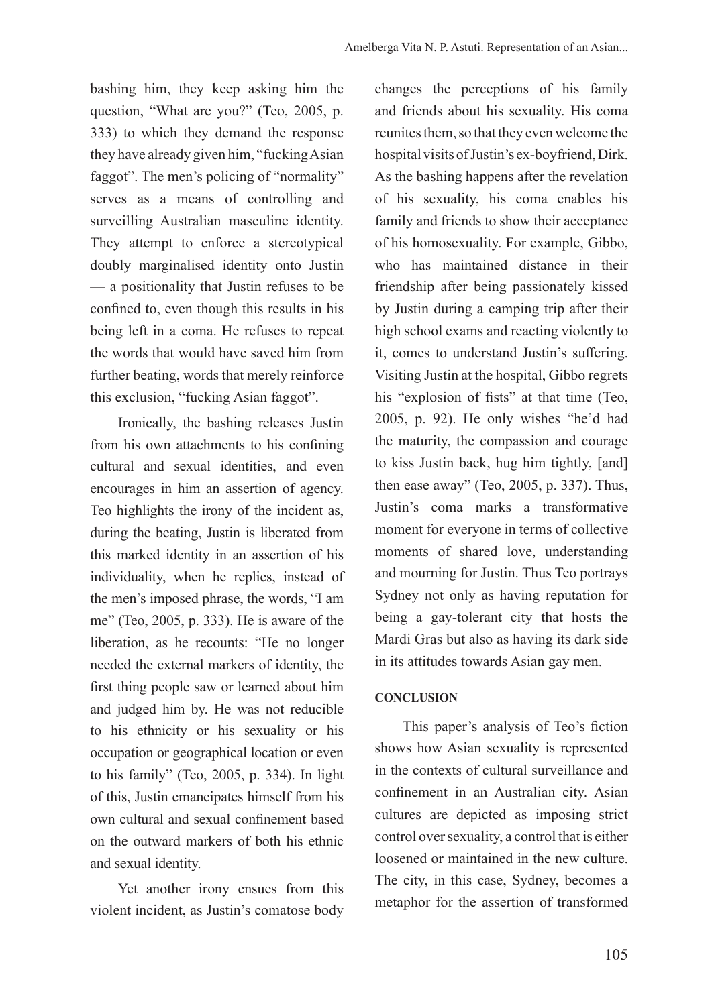bashing him, they keep asking him the question, "What are you?" (Teo, 2005, p. 333) to which they demand the response they have already given him, "fucking Asian faggot". The men's policing of "normality" serves as a means of controlling and surveilling Australian masculine identity. They attempt to enforce a stereotypical doubly marginalised identity onto Justin — a positionality that Justin refuses to be confined to, even though this results in his being left in a coma. He refuses to repeat the words that would have saved him from further beating, words that merely reinforce this exclusion, "fucking Asian faggot".

Ironically, the bashing releases Justin from his own attachments to his confining cultural and sexual identities, and even encourages in him an assertion of agency. Teo highlights the irony of the incident as, during the beating, Justin is liberated from this marked identity in an assertion of his individuality, when he replies, instead of the men's imposed phrase, the words, "I am me" (Teo, 2005, p. 333). He is aware of the liberation, as he recounts: "He no longer needed the external markers of identity, the first thing people saw or learned about him and judged him by. He was not reducible to his ethnicity or his sexuality or his occupation or geographical location or even to his family" (Teo, 2005, p. 334). In light of this, Justin emancipates himself from his own cultural and sexual confinement based on the outward markers of both his ethnic and sexual identity.

Yet another irony ensues from this violent incident, as Justin's comatose body

changes the perceptions of his family and friends about his sexuality. His coma reunites them, so that they even welcome the hospital visits of Justin's ex-boyfriend, Dirk. As the bashing happens after the revelation of his sexuality, his coma enables his family and friends to show their acceptance of his homosexuality. For example, Gibbo, who has maintained distance in their friendship after being passionately kissed by Justin during a camping trip after their high school exams and reacting violently to it, comes to understand Justin's suffering. Visiting Justin at the hospital, Gibbo regrets his "explosion of fists" at that time (Teo, 2005, p. 92). He only wishes "he'd had the maturity, the compassion and courage to kiss Justin back, hug him tightly, [and] then ease away" (Teo, 2005, p. 337). Thus, Justin's coma marks a transformative moment for everyone in terms of collective moments of shared love, understanding and mourning for Justin. Thus Teo portrays Sydney not only as having reputation for being a gay-tolerant city that hosts the Mardi Gras but also as having its dark side in its attitudes towards Asian gay men.

## **CONCLUSION**

This paper's analysis of Teo's fiction shows how Asian sexuality is represented in the contexts of cultural surveillance and confinement in an Australian city. Asian cultures are depicted as imposing strict control over sexuality, a control that is either loosened or maintained in the new culture. The city, in this case, Sydney, becomes a metaphor for the assertion of transformed